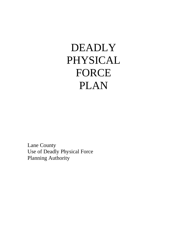# DEADLY PHYSICAL FORCE PLAN

Lane County Use of Deadly Physical Force Planning Authority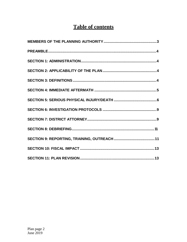# **Table of contents**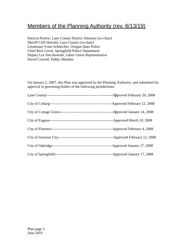# Members of the Planning Authority (rev. 6/13/19)

Patricia Perlow, Lane County District Attorney (co-chair) Sheriff Cliff Harrold, Lane County (co-chair) Lieutenant Vonn Schleicher, Oregon State Police Chief Rick Lewis, Springfield Police Department Deputy Les Sieczkowski, Labor Union Representative David Crowell, Public Member

On January 2, 2007, this Plan was approved by the Planning Authority, and submitted for approval to governing bodies of the following jurisdictions:

| -Approved February 20, 2008 |
|-----------------------------|
| -Approved February 12, 2008 |
| -Approved January 14, 2008  |
| -Approved March 10, 2008    |
| -Approved February 4, 2008  |
| -Approved February 12, 2008 |
| -Approved January 17, 2008  |
| -Approved January 17, 2008  |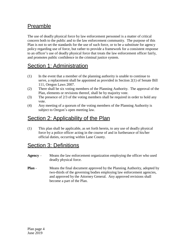# Preamble

The use of deadly physical force by law enforcement personnel is a matter of critical concern both to the public and to the law enforcement community. The purpose of this Plan is not to set the standards for the use of such force, or to be a substitute for agency policy regarding use of force, but rather to provide a framework for a consistent response to an officer's use of deadly physical force that treats the law enforcement officer fairly, and promotes public confidence in the criminal justice system.

# Section 1: Administration

- (1) In the event that a member of the planning authority is unable to continue to serve, a replacement shall be appointed as provided in Section 2(1) of Senate Bill 111, Oregon Laws 2007.
- (2) There shall be six voting members of the Planning Authority. The approval of the Plan, elements or revisions thereof, shall be by majority vote.
- (3) The presence of 2/3 of the voting members shall be required in order to hold any vote.
- (4) Any meeting of a quorum of the voting members of the Planning Authority is subject to Oregon's open meeting law.

#### Section 2: Applicability of the Plan

(1) This plan shall be applicable, as set forth herein, to any use of deadly physical force by a police officer acting in the course of and in furtherance of his/her official duties, occurring within Lane County.

## Section 3: Definitions

- **Agency**  Means the law enforcement organization employing the officer who used deadly physical force.
- **Plan** Means the final document approved by the Planning Authority, adopted by two-thirds of the governing bodies employing law enforcement agencies, and approved by the Attorney General. Any approved revisions shall become a part of the Plan.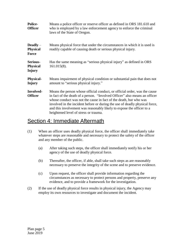| <b>Police-</b><br><b>Officer</b>                   | Means a police officer or reserve officer as defined in ORS 181.610 and<br>who is employed by a law enforcement agency to enforce the criminal<br>laws of the State of Oregon.                                                                                                                                                                                                                                                |  |
|----------------------------------------------------|-------------------------------------------------------------------------------------------------------------------------------------------------------------------------------------------------------------------------------------------------------------------------------------------------------------------------------------------------------------------------------------------------------------------------------|--|
| $\bf{Deadly}$ –<br><b>Physical</b><br><b>Force</b> | Means physical force that under the circumstances in which it is used is<br>readily capable of causing death or serious physical injury.                                                                                                                                                                                                                                                                                      |  |
| Serious-<br><b>Physical</b><br><b>Injury</b>       | Has the same meaning as "serious physical injury" as defined in ORS<br>$161.015(8)$ .                                                                                                                                                                                                                                                                                                                                         |  |
| <b>Physical-</b><br>Injury                         | Means impairment of physical condition or substantial pain that does not<br>amount to "serious physical injury."                                                                                                                                                                                                                                                                                                              |  |
| Involved-<br><b>Officer</b>                        | Means the person whose official conduct, or official order, was the cause<br>in fact of the death of a person. "Involved Officer" also means an officer<br>whose conduct was not the cause in fact of the death, but who was<br>involved in the incident before or during the use of deadly physical force,<br>and this involvement was reasonably likely to expose the officer to a<br>heightened level of stress or trauma. |  |

#### Section 4: Immediate Aftermath

- (1) When an officer uses deadly physical force, the officer shall immediately take whatever steps are reasonable and necessary to protect the safety of the officer and any member of the public.
	- (a) After taking such steps, the officer shall immediately notify his or her agency of the use of deadly physical force.
	- (b) Thereafter, the officer, if able, shall take such steps as are reasonably necessary to preserve the integrity of the scene and to preserve evidence.
	- (c) Upon request, the officer shall provide information regarding the circumstances as necessary to protect persons and property, preserve any evidence, and to provide a framework for the investigation.
- (2) If the use of deadly physical force results in physical injury, the Agency may employ its own resources to investigate and document the incident.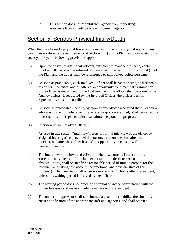(a) This section does not prohibit the Agency from requesting assistance from an outside law enforcement agency.

## Section 5: Serious Physical Injury/Death

When the use of deadly physical force results in death or serious physical injury to any person, in addition to the requirements of Section 4 (1) of this Plan, and notwithstanding agency policy*,* the following provisions apply:

- (1) Upon the arrival of additional officers, sufficient to manage the scene*,* each Involved Officer shall be relieved of the above duties set forth in Section 4 (1) of the Plan, and the duties shall be re-assigned to uninvolved police personnel.
- (2) As soon as practicable, each Involved Officer shall leave the scene, as directed by his or her supervisor, and be offered an opportunity for a medical examination. If the officer is not in need of medical treatment, the officer shall be taken to the Agency offices. If requested by the Involved Officer, the officer's union representative shall be notified.
- (3) As soon as practicable, the duty weapon of any officer who fired their weapon or who was in the immediate vicinity where weapons were fired, shall be seized by investigators, and replaced with a substitute weapon, if appropriate.
- (4) Interview of an "Involved Officer":

As used in this section "interview" refers to formal interview of the officer by assigned investigative personnel that occurs a reasonable time after the incident, and after the officer has had an opportunity to consult with counsel, if so desired.

- (a) The interview of the involved officer(s) who discharged a firearm during a use of deadly physical force incident resulting in death or serious physical injury, shall occur after a reasonable period of time to prepare for the interview and taking into account the emotional and physical state of the officer(s). The interview shall occur no sooner than 48 hours after the incident, unless this waiting period is waived by the officer.
- (b) The waiting period does not preclude an initial on-scene conversation with the officer to assess and make an initial evaluation of the incident.
- (c) The on-scene supervisor shall take immediate action to stabilize the situation, ensure notification of the appropriate staff and agencies, and shall obtain a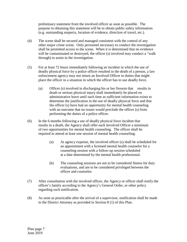preliminary statement from the involved officer as soon as possible. The purpose in obtaining this statement will be to obtain public safety information (e.g. outstanding suspects, location of evidence, direction of travel, etc.).

- (d) The scene shall be secured and managed consistent with the control of any other major crime scene. Only personnel necessary to conduct the investigation shall be permitted access to the scene. When it is determined that no evidence will be contaminated or destroyed, the officer (s) involved may conduct a "walk through) to assist in the investigation.
- (5) For at least 72 hours immediately following an incident in which the use of deadly physical force by a police officer resulted in the death of a person, a law enforcement agency may not return an Involved Officer to duties that might place the officer in a situation in which the officer has to use deadly force.
	- (a) Officer (s) involved in discharging his or her firearm that results in death or serious physical injury shall immediately be placed on administrative leave until such time as sufficient information exists to determine the justification in the use of deadly physical force and that the officer (s) have had an opportunity for mental health counseling with an outcome that no issues would preclude the officer (s) from performing the duties of a police officer.
- (6) In the 6 months following a use of deadly physical force incident that results in a death, the Agency shall offer each Involved Officer a minimum of two opportunities for mental health counseling. The officer shall be required to attend at least one session of mental health counseling.
	- (a) At agency expense, the involved officer (s) shall be scheduled for an appointment with a licensed mental health counselor for a counseling session with a follow-up session scheduled at a date determined by the mental health professional.
	- (b) The counseling sessions are not to be considered fitness for duty evaluations, and are to be considered privileged between the officer and counselor.
- (7) After consultation with the involved officer, the Agency or officer shall notify the officer's family according to the Agency's General Order, or other policy regarding such notification.
- (8) As soon as practicable after the arrival of a supervisor, notification shall be made to the District Attorney as provided in Section 8 (1) of this Plan.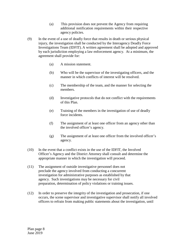- (a) This provision does not prevent the Agency from requiring additional notification requirements within their respective agency policies.
- (9) In the event of a use of deadly force that results in death or serious physical injury, the investigation shall be conducted by the Interagency Deadly Force Investigations Team (IDFIT). A written agreement shall be adopted and approved by each jurisdiction employing a law enforcement agency. At a minimum, the agreement shall provide for:
	- (a) A mission statement.
	- (b) Who will be the supervisor of the investigating officers, and the manner in which conflicts of interest will be resolved.
	- (c) The membership of the team, and the manner for selecting the members.
	- (d) Investigative protocols that do not conflict with the requirements of this Plan.
	- (e) Training of the members in the investigation of use of deadly force incidents.
	- (f) The assignment of at least one officer from an agency other than the involved officer's agency.
	- (g) The assignment of at least one officer from the involved officer's agency.
- (10) In the event that a conflict exists in the use of the IDFIT, the Involved Officer's Agency and the District Attorney shall consult and determine the appropriate manner in which the investigation will proceed.
- (11) The assignment of outside investigative personnel does not preclude the agency involved from conducting a concurrent investigation for administrative purposes as established by that agency. Such investigations may be necessary for civil preparation, determination of policy violations or training issues.
- (12) In order to preserve the integrity of the investigation and prosecution, if one occurs, the scene supervisor and investigative supervisor shall notify all involved officers to refrain from making public statements about the investigation, until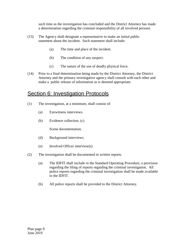such time as the investigation has concluded and the District Attorney has made a determination regarding the criminal responsibility of all involved persons.

- (13) The Agency shall designate a representative to make an initial public statement about the incident. Such statement shall include:
	- (a) The time and place of the incident.
	- (b) The condition of any suspect.
	- (c) The nature of the use of deadly physical force.
- (14) Prior to a final determination being made by the District Attorney, the District Attorney and the primary investigative agency shall consult with each other and make a public release of information as is deemed appropriate.

#### Section 6: Investigation Protocols

- (1) The investigation, at a minimum, shall consist of:
	- (a) Eyewitness interviews.
	- (b) Evidence collection. (c)

Scene documentation.

- (d) Background interviews.
- (e) Involved Officer interview(s)
- (2) The investigation shall be documented in written reports.
	- (a) The IDFIT shall include in the Standard Operating Procedure, a provision regarding the filing of reports regarding the criminal investigation. All police reports regarding the criminal investigation shall be made available to the IDFIT.
	- (b) All police reports shall be provided to the District Attorney.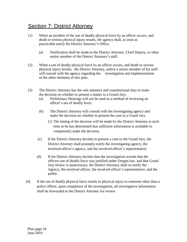## **Section 7: District Attorney**

- (1) When an incident of the use of deadly physical force by an officer occurs, and death or serious physical injury results, the agency shall, as soon as practicable notify the District Attorney's Office.
	- (a) Notification shall be made to the District Attorney, Chief Deputy, or other senior member of the District Attorney's staff.
- (2) When a use of deadly physical force by an officer occurs, and death or serious physical injury results, the District Attorney, and/or a senior member of his staff will consult with the agency regarding the investigation and implementation of the other elements of this plan.
- (3) The District Attorney has the sole statutory and constitutional duty to make the decision on whether to present a matter to a Grand Jury.
	- (a) Preliminary Hearings will not be used as a method of reviewing an officer's use of deadly force.
	- (b) The District Attorney will consult with the investigating agency and make the decision on whether to present the case to a Grand Jury.
		- (1) The timing of the decision will be made by the District Attorney at such time as he has determined that sufficient information is available to competently make the decision.
	- (c) If the District Attorney decides to present a case to the Grand Jury, the District Attorney shall promptly notify the investigating agency, the involved officer's agency, and the involved officer's representative.
	- (d) If the District Attorney decides that the investigation reveals that the officers use of deadly force was justified under Oregon law, and that Grand Jury review is unnecessary, the District Attorney shall so notify the Agency, the involved officer, the involved officer's representative, and the public.
- (4) If the use of deadly physical force results in physical injury to someone other than a police officer, upon completion of the investigation, all investigative information shall be forwarded to the District Attorney for review.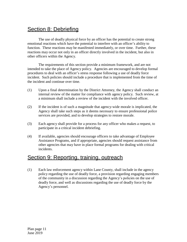## Section 8: Debriefing

The use of deadly physical force by an officer has the potential to create strong emotional reactions which have the potential to interfere with an officer's ability to function. These reactions may be manifested immediately, or over time. Further, these reactions may occur not only in an officer directly involved in the incident, but also in other officers within the Agency.

The requirements of this section provide a minimum framework, and are not intended to take the place of Agency policy. Agencies are encouraged to develop formal procedures to deal with an officer's stress response following a use of deadly force incident. Such policies should include a procedure that is implemented from the time of the incident and continue over time.

- (1) Upon a final determination by the District Attorney, the Agency shall conduct an internal review of the matter for compliance with agency policy. Such review, at a minimum shall include a review of the incident with the involved officer.
- (2) If the incident is of such a magnitude that agency-wide morale is implicated, the Agency shall take such steps as it deems necessary to ensure professional police services are provided, and to develop strategies to restore morale.
- (3) Each agency shall provide for a process for any officer who makes a request, to participate in a critical incident debriefing.
- (4) If available, agencies should encourage officers to take advantage of Employee Assistance Programs, and if appropriate, agencies should request assistance from other agencies that may have in place formal programs for dealing with critical incidents.

#### Section 9: Reporting, training, outreach

(1) Each law enforcement agency within Lane County, shall include in the agency policy regarding the use of deadly force, a provision regarding engaging members of the community in a discussion regarding the Agency's policies on the use of deadly force, and well as discussions regarding the use of deadly force by the Agency's personnel.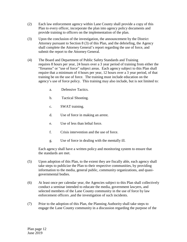- (2) Each law enforcement agency within Lane County shall provide a copy of this Plan to every officer, incorporate the plan into agency policy documents and provide training to officers on the implementation of the plan.
- (3) Upon the conclusion of the investigation, the announcement by the District Attorney pursuant to Section 8 (3) of this Plan, and the debriefing, the Agency shall complete the Attorney General's report regarding the use of force, and submit the report to the Attorney General.
- (4) The Board and Department of Public Safety Standards and Training requires 8 hours per year, 24 hours over a 3 year period of training from either the "firearms" or "use of force" subject areas. Each agency subject to this Plan shall require that a minimum of 4 hours per year, 12 hours over a 3 year period, of that training be on the use of force. The training must include education on the agency's use of force policy. This training may also include, but is not limited to:
	- a. Defensive Tactics.
	- b. Tactical Shooting.
	- c. SWAT training.
	- d. Use of force in making an arrest.
	- e. Use of less than lethal force.
	- f. Crisis intervention and the use of force.
	- g. Use of force in dealing with the mentally ill.

Each agency shall have a written policy and monitoring system to ensure that the standards are met.

- (5) Upon adoption of this Plan, to the extent they are fiscally able, each agency shall take steps to publicize the Plan to their respective communities, by providing information to the media, general public, community organizations, and quasigovernmental bodies.
- (6) At least once per calendar year, the Agencies subject to this Plan shall collectively conduct a seminar intended to educate the media, government lawyers, and selected members of the Lane County community in the use of force by law enforcement officers ,and the investigation of such incidents.
- (7) Prior to the adoption of this Plan, the Planning Authority shall take steps to engage the Lane County community in a discussion regarding the purpose of the